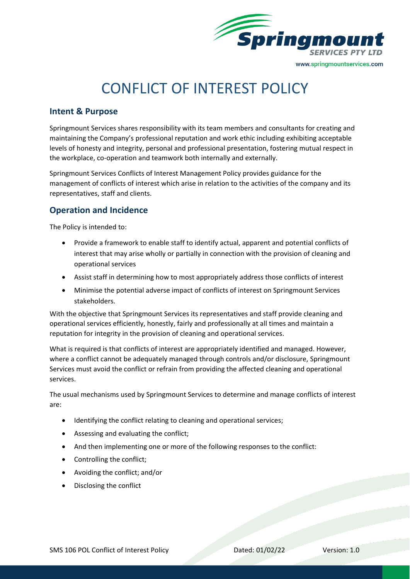

# CONFLICT OF INTEREST POLICY

## **Intent & Purpose**

Springmount Services shares responsibility with its team members and consultants for creating and maintaining the Company's professional reputation and work ethic including exhibiting acceptable levels of honesty and integrity, personal and professional presentation, fostering mutual respect in the workplace, co-operation and teamwork both internally and externally.

Springmount Services Conflicts of Interest Management Policy provides guidance for the management of conflicts of interest which arise in relation to the activities of the company and its representatives, staff and clients.

## **Operation and Incidence**

The Policy is intended to:

- Provide a framework to enable staff to identify actual, apparent and potential conflicts of interest that may arise wholly or partially in connection with the provision of cleaning and operational services
- Assist staff in determining how to most appropriately address those conflicts of interest
- Minimise the potential adverse impact of conflicts of interest on Springmount Services stakeholders.

With the objective that Springmount Services its representatives and staff provide cleaning and operational services efficiently, honestly, fairly and professionally at all times and maintain a reputation for integrity in the provision of cleaning and operational services.

What is required is that conflicts of interest are appropriately identified and managed. However, where a conflict cannot be adequately managed through controls and/or disclosure, Springmount Services must avoid the conflict or refrain from providing the affected cleaning and operational services.

The usual mechanisms used by Springmount Services to determine and manage conflicts of interest are:

- Identifying the conflict relating to cleaning and operational services;
- Assessing and evaluating the conflict;
- And then implementing one or more of the following responses to the conflict:
- Controlling the conflict;
- Avoiding the conflict; and/or
- Disclosing the conflict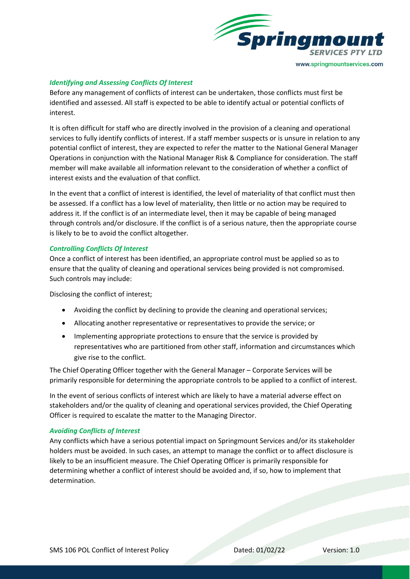

#### *Identifying and Assessing Conflicts Of Interest*

Before any management of conflicts of interest can be undertaken, those conflicts must first be identified and assessed. All staff is expected to be able to identify actual or potential conflicts of interest.

It is often difficult for staff who are directly involved in the provision of a cleaning and operational services to fully identify conflicts of interest. If a staff member suspects or is unsure in relation to any potential conflict of interest, they are expected to refer the matter to the National General Manager Operations in conjunction with the National Manager Risk & Compliance for consideration. The staff member will make available all information relevant to the consideration of whether a conflict of interest exists and the evaluation of that conflict.

In the event that a conflict of interest is identified, the level of materiality of that conflict must then be assessed. If a conflict has a low level of materiality, then little or no action may be required to address it. If the conflict is of an intermediate level, then it may be capable of being managed through controls and/or disclosure. If the conflict is of a serious nature, then the appropriate course is likely to be to avoid the conflict altogether.

#### *Controlling Conflicts Of Interest*

Once a conflict of interest has been identified, an appropriate control must be applied so as to ensure that the quality of cleaning and operational services being provided is not compromised. Such controls may include:

Disclosing the conflict of interest;

- Avoiding the conflict by declining to provide the cleaning and operational services;
- Allocating another representative or representatives to provide the service; or
- Implementing appropriate protections to ensure that the service is provided by representatives who are partitioned from other staff, information and circumstances which give rise to the conflict.

The Chief Operating Officer together with the General Manager – Corporate Services will be primarily responsible for determining the appropriate controls to be applied to a conflict of interest.

In the event of serious conflicts of interest which are likely to have a material adverse effect on stakeholders and/or the quality of cleaning and operational services provided, the Chief Operating Officer is required to escalate the matter to the Managing Director.

#### *Avoiding Conflicts of Interest*

Any conflicts which have a serious potential impact on Springmount Services and/or its stakeholder holders must be avoided. In such cases, an attempt to manage the conflict or to affect disclosure is likely to be an insufficient measure. The Chief Operating Officer is primarily responsible for determining whether a conflict of interest should be avoided and, if so, how to implement that determination.